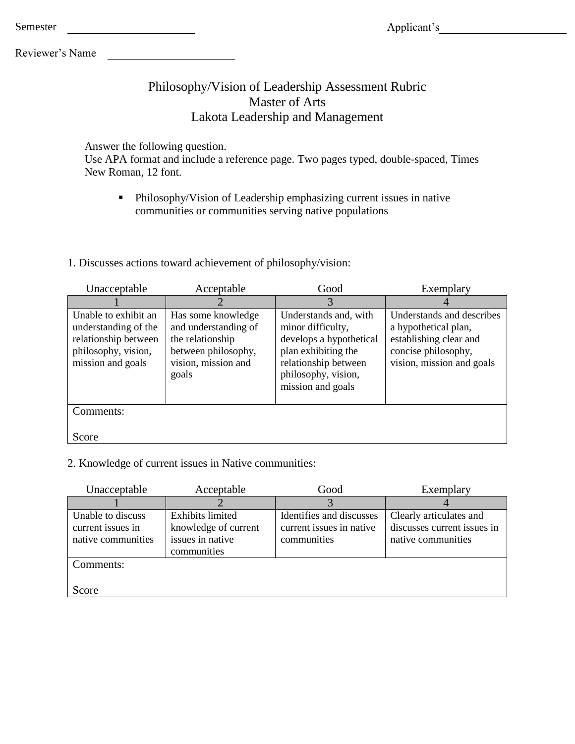Reviewer's Name

Semester

### Philosophy/Vision of Leadership Assessment Rubric Master of Arts Lakota Leadership and Management

Answer the following question.

Use APA format and include a reference page. Two pages typed, double-spaced, Times New Roman, 12 font.

 Philosophy/Vision of Leadership emphasizing current issues in native communities or communities serving native populations

1. Discusses actions toward achievement of philosophy/vision:

| Unacceptable                                                                                                     | Acceptable                                                                                                            | Good                                                                                                                                                             | Exemplary                                                                                                                       |
|------------------------------------------------------------------------------------------------------------------|-----------------------------------------------------------------------------------------------------------------------|------------------------------------------------------------------------------------------------------------------------------------------------------------------|---------------------------------------------------------------------------------------------------------------------------------|
|                                                                                                                  |                                                                                                                       | 3                                                                                                                                                                |                                                                                                                                 |
| Unable to exhibit an<br>understanding of the<br>relationship between<br>philosophy, vision,<br>mission and goals | Has some knowledge<br>and understanding of<br>the relationship<br>between philosophy,<br>vision, mission and<br>goals | Understands and, with<br>minor difficulty,<br>develops a hypothetical<br>plan exhibiting the<br>relationship between<br>philosophy, vision,<br>mission and goals | Understands and describes<br>a hypothetical plan,<br>establishing clear and<br>concise philosophy,<br>vision, mission and goals |
| Comments:                                                                                                        |                                                                                                                       |                                                                                                                                                                  |                                                                                                                                 |
| Score                                                                                                            |                                                                                                                       |                                                                                                                                                                  |                                                                                                                                 |

2. Knowledge of current issues in Native communities:

| Clearly articulates and<br>discusses current issues in<br>native communities |
|------------------------------------------------------------------------------|
|                                                                              |
|                                                                              |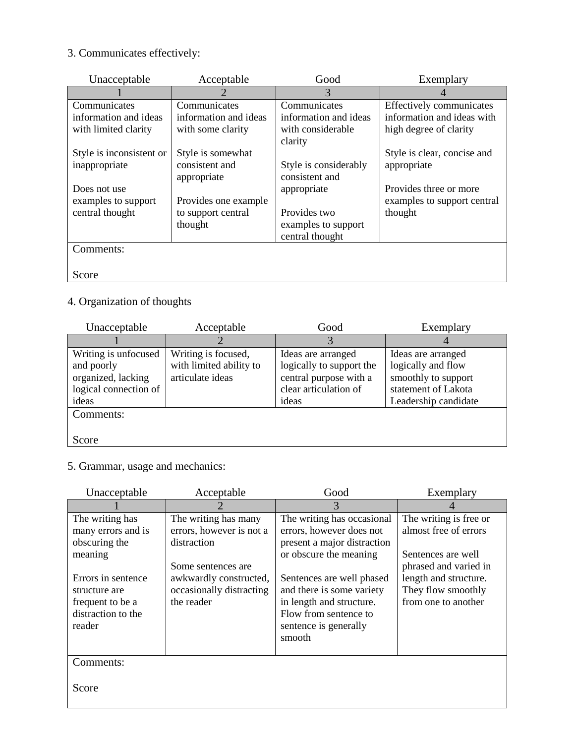## 3. Communicates effectively:

| Unacceptable             | Acceptable            | Good                  | Exemplary                   |
|--------------------------|-----------------------|-----------------------|-----------------------------|
|                          | $\mathcal{D}_{\cdot}$ | 3                     |                             |
| Communicates             | Communicates          | Communicates          | Effectively communicates    |
| information and ideas    | information and ideas | information and ideas | information and ideas with  |
| with limited clarity     | with some clarity     | with considerable     | high degree of clarity      |
|                          |                       | clarity               |                             |
| Style is inconsistent or | Style is somewhat     |                       | Style is clear, concise and |
| inappropriate            | consistent and        | Style is considerably | appropriate                 |
|                          | appropriate           | consistent and        |                             |
| Does not use             |                       | appropriate           | Provides three or more      |
| examples to support      | Provides one example  |                       | examples to support central |
| central thought          | to support central    | Provides two          | thought                     |
|                          | thought               | examples to support   |                             |
|                          |                       | central thought       |                             |
| Comments:                |                       |                       |                             |
|                          |                       |                       |                             |
| Score                    |                       |                       |                             |

## 4. Organization of thoughts

| Unacceptable                                                                               | Acceptable                                                         | Good                                                                                                       | Exemplary                                                                                                      |
|--------------------------------------------------------------------------------------------|--------------------------------------------------------------------|------------------------------------------------------------------------------------------------------------|----------------------------------------------------------------------------------------------------------------|
|                                                                                            |                                                                    |                                                                                                            |                                                                                                                |
| Writing is unfocused<br>and poorly<br>organized, lacking<br>logical connection of<br>ideas | Writing is focused,<br>with limited ability to<br>articulate ideas | Ideas are arranged<br>logically to support the<br>central purpose with a<br>clear articulation of<br>ideas | Ideas are arranged<br>logically and flow<br>smoothly to support<br>statement of Lakota<br>Leadership candidate |
| Comments:<br>Score                                                                         |                                                                    |                                                                                                            |                                                                                                                |

### 5. Grammar, usage and mechanics:

| Unacceptable                                                                            | Acceptable                                                                             | Good                                                                                                                                           | Exemplary                                                                                   |
|-----------------------------------------------------------------------------------------|----------------------------------------------------------------------------------------|------------------------------------------------------------------------------------------------------------------------------------------------|---------------------------------------------------------------------------------------------|
|                                                                                         |                                                                                        | 3                                                                                                                                              |                                                                                             |
| The writing has<br>many errors and is<br>obscuring the<br>meaning                       | The writing has many<br>errors, however is not a<br>distraction                        | The writing has occasional<br>errors, however does not<br>present a major distraction<br>or obscure the meaning                                | The writing is free or<br>almost free of errors<br>Sentences are well                       |
| Errors in sentence<br>structure are<br>frequent to be a<br>distraction to the<br>reader | Some sentences are<br>awkwardly constructed,<br>occasionally distracting<br>the reader | Sentences are well phased<br>and there is some variety<br>in length and structure.<br>Flow from sentence to<br>sentence is generally<br>smooth | phrased and varied in<br>length and structure.<br>They flow smoothly<br>from one to another |
| Comments:                                                                               |                                                                                        |                                                                                                                                                |                                                                                             |
| Score                                                                                   |                                                                                        |                                                                                                                                                |                                                                                             |